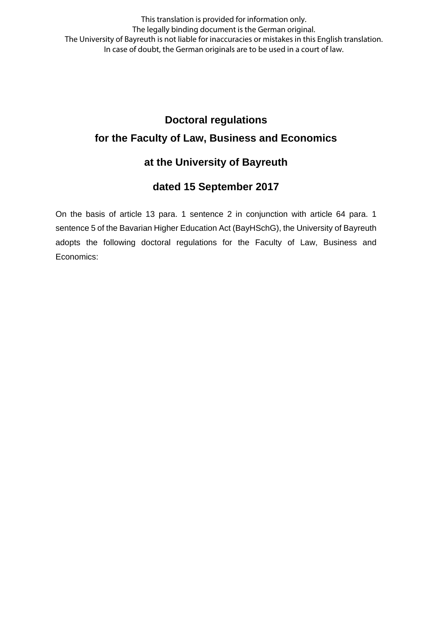This translation is provided for information only. The legally binding document is the German original. The University of Bayreuth is not liable for inaccuracies or mistakes in this English translation. In case of doubt, the German originals are to be used in a court of law.

# **Doctoral regulations for the Faculty of Law, Business and Economics**

# **at the University of Bayreuth**

# **dated 15 September 2017**

On the basis of article 13 para. 1 sentence 2 in conjunction with article 64 para. 1 sentence 5 of the Bavarian Higher Education Act (BayHSchG), the University of Bayreuth adopts the following doctoral regulations for the Faculty of Law, Business and Economics: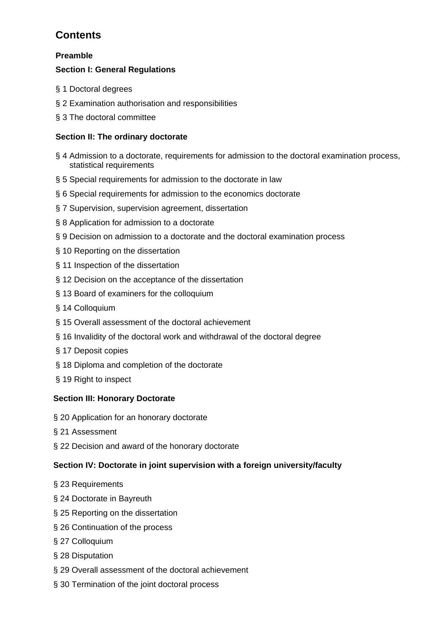# **Contents**

# **Preamble**

# **Section I: General Regulations**

- § 1 Doctoral degrees
- § 2 Examination authorisation and responsibilities
- § 3 The doctoral committee

# **Section II: The ordinary doctorate**

- § 4 Admission to a doctorate, requirements for admission to the doctoral examination process, statistical requirements
- § 5 Special requirements for admission to the doctorate in law
- § 6 Special requirements for admission to the economics doctorate
- § 7 Supervision, supervision agreement, dissertation
- § 8 Application for admission to a doctorate
- § 9 Decision on admission to a doctorate and the doctoral examination process
- § 10 Reporting on the dissertation
- § 11 Inspection of the dissertation
- § 12 Decision on the acceptance of the dissertation
- § 13 Board of examiners for the colloquium
- § 14 Colloquium
- § 15 Overall assessment of the doctoral achievement
- § 16 Invalidity of the doctoral work and withdrawal of the doctoral degree
- § 17 Deposit copies
- § 18 Diploma and completion of the doctorate
- § 19 Right to inspect

# **Section III: Honorary Doctorate**

- § 20 Application for an honorary doctorate
- § 21 Assessment
- § 22 Decision and award of the honorary doctorate

# **Section IV: Doctorate in joint supervision with a foreign university/faculty**

- § 23 Requirements
- § 24 Doctorate in Bayreuth
- § 25 Reporting on the dissertation
- § 26 Continuation of the process
- § 27 Colloquium
- § 28 Disputation
- § 29 Overall assessment of the doctoral achievement
- § 30 Termination of the joint doctoral process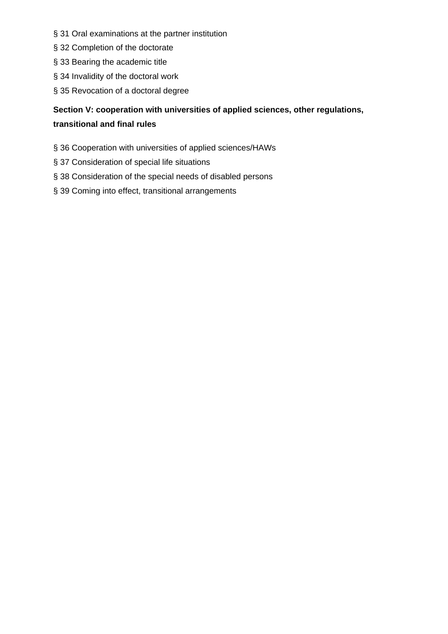- § 31 Oral examinations at the partner institution
- § 32 Completion of the doctorate
- § 33 Bearing the academic title
- § 34 Invalidity of the doctoral work
- § 35 Revocation of a doctoral degree

# **Section V: cooperation with universities of applied sciences, other regulations, transitional and final rules**

- § 36 Cooperation with universities of applied sciences/HAWs
- § 37 Consideration of special life situations
- § 38 Consideration of the special needs of disabled persons
- § 39 Coming into effect, transitional arrangements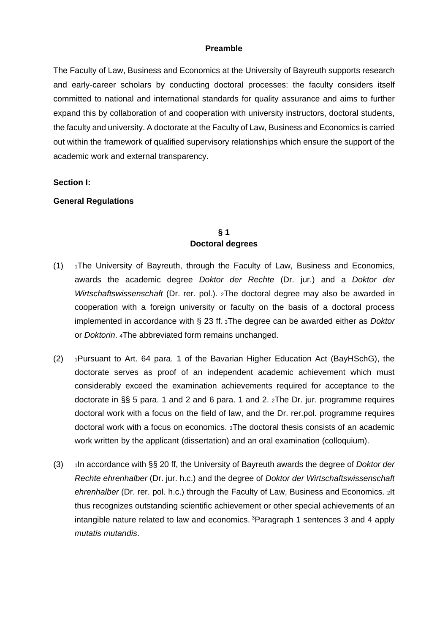### **Preamble**

The Faculty of Law, Business and Economics at the University of Bayreuth supports research and early-career scholars by conducting doctoral processes: the faculty considers itself committed to national and international standards for quality assurance and aims to further expand this by collaboration of and cooperation with university instructors, doctoral students, the faculty and university. A doctorate at the Faculty of Law, Business and Economics is carried out within the framework of qualified supervisory relationships which ensure the support of the academic work and external transparency.

#### **Section I:**

### **General Regulations**

### **§ 1 Doctoral degrees**

- $(1)$  1The University of Bayreuth, through the Faculty of Law, Business and Economics, awards the academic degree *Doktor der Rechte* (Dr. jur.) and a *Doktor der Wirtschaftswissenschaft* (Dr. rer. pol.). 2The doctoral degree may also be awarded in cooperation with a foreign university or faculty on the basis of a doctoral process implemented in accordance with § 23 ff. 3The degree can be awarded either as *Doktor* or *Doktorin*. 4The abbreviated form remains unchanged.
- (2) 1Pursuant to Art. 64 para. 1 of the Bavarian Higher Education Act (BayHSchG), the doctorate serves as proof of an independent academic achievement which must considerably exceed the examination achievements required for acceptance to the doctorate in §§ 5 para. 1 and 2 and 6 para. 1 and 2. 2The Dr. jur. programme requires doctoral work with a focus on the field of law, and the Dr. rer.pol. programme requires doctoral work with a focus on economics. 3The doctoral thesis consists of an academic work written by the applicant (dissertation) and an oral examination (colloquium).
- (3) 1In accordance with §§ 20 ff, the University of Bayreuth awards the degree of *Doktor der Rechte ehrenhalber* (Dr. jur. h.c.) and the degree of *Doktor der Wirtschaftswissenschaft ehrenhalber* (Dr. rer. pol. h.c.) through the Faculty of Law, Business and Economics. 2It thus recognizes outstanding scientific achievement or other special achievements of an intangible nature related to law and economics. 3Paragraph 1 sentences 3 and 4 apply *mutatis mutandis*.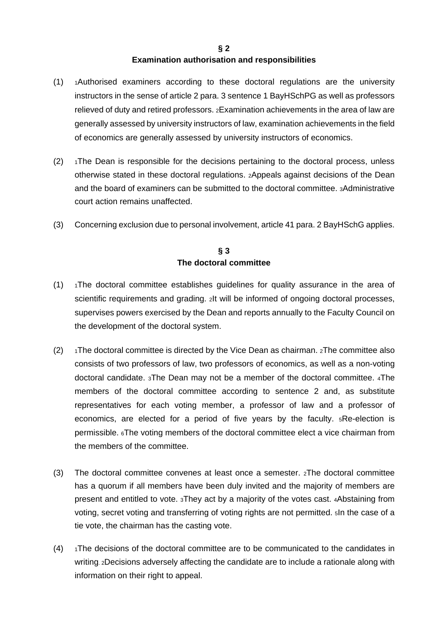### **§ 2 Examination authorisation and responsibilities**

- (1) 1Authorised examiners according to these doctoral regulations are the university instructors in the sense of article 2 para. 3 sentence 1 BayHSchPG as well as professors relieved of duty and retired professors. 2Examination achievements in the area of law are generally assessed by university instructors of law, examination achievements in the field of economics are generally assessed by university instructors of economics.
- $(2)$  1The Dean is responsible for the decisions pertaining to the doctoral process, unless otherwise stated in these doctoral regulations. 2Appeals against decisions of the Dean and the board of examiners can be submitted to the doctoral committee. 3Administrative court action remains unaffected.
- (3) Concerning exclusion due to personal involvement, article 41 para. 2 BayHSchG applies.

# **§ 3 The doctoral committee**

- $(1)$  1The doctoral committee establishes guidelines for quality assurance in the area of scientific requirements and grading. 2It will be informed of ongoing doctoral processes, supervises powers exercised by the Dean and reports annually to the Faculty Council on the development of the doctoral system.
- (2)  $\rightarrow$  1The doctoral committee is directed by the Vice Dean as chairman. 2The committee also consists of two professors of law, two professors of economics, as well as a non-voting doctoral candidate. 3The Dean may not be a member of the doctoral committee. 4The members of the doctoral committee according to sentence 2 and, as substitute representatives for each voting member, a professor of law and a professor of economics, are elected for a period of five years by the faculty. 5Re-election is permissible. 6The voting members of the doctoral committee elect a vice chairman from the members of the committee.
- (3) The doctoral committee convenes at least once a semester. 2The doctoral committee has a quorum if all members have been duly invited and the majority of members are present and entitled to vote. 3They act by a majority of the votes cast. 4Abstaining from voting, secret voting and transferring of voting rights are not permitted. 5In the case of a tie vote, the chairman has the casting vote.
- (4) 1The decisions of the doctoral committee are to be communicated to the candidates in writing. 2Decisions adversely affecting the candidate are to include a rationale along with information on their right to appeal.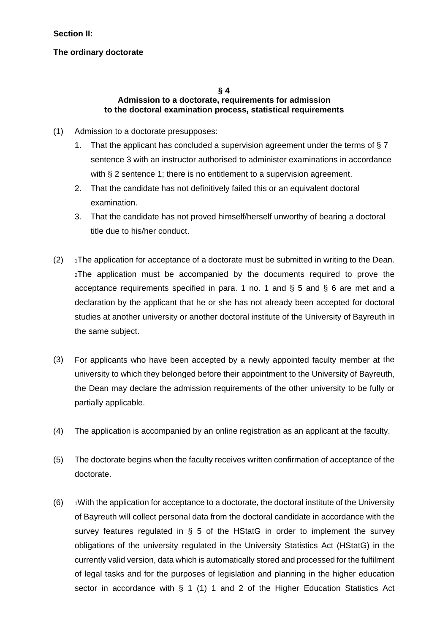### **Section II:**

### **The ordinary doctorate**

#### **§ 4 Admission to a doctorate, requirements for admission to the doctoral examination process, statistical requirements**

- (1) Admission to a doctorate presupposes:
	- 1. That the applicant has concluded a supervision agreement under the terms of § 7 sentence 3 with an instructor authorised to administer examinations in accordance with § 2 sentence 1; there is no entitlement to a supervision agreement.
	- 2. That the candidate has not definitively failed this or an equivalent doctoral examination.
	- 3. That the candidate has not proved himself/herself unworthy of bearing a doctoral title due to his/her conduct.
- $(2)$  1The application for acceptance of a doctorate must be submitted in writing to the Dean. 2The application must be accompanied by the documents required to prove the acceptance requirements specified in para. 1 no. 1 and § 5 and § 6 are met and a declaration by the applicant that he or she has not already been accepted for doctoral studies at another university or another doctoral institute of the University of Bayreuth in the same subject.
- (3) For applicants who have been accepted by a newly appointed faculty member at the university to which they belonged before their appointment to the University of Bayreuth, the Dean may declare the admission requirements of the other university to be fully or partially applicable.
- (4) The application is accompanied by an online registration as an applicant at the faculty.
- (5) The doctorate begins when the faculty receives written confirmation of acceptance of the doctorate.
- $(6)$  1With the application for acceptance to a doctorate, the doctoral institute of the University of Bayreuth will collect personal data from the doctoral candidate in accordance with the survey features regulated in § 5 of the HStatG in order to implement the survey obligations of the university regulated in the University Statistics Act (HStatG) in the currently valid version, data which is automatically stored and processed for the fulfilment of legal tasks and for the purposes of legislation and planning in the higher education sector in accordance with § 1 (1) 1 and 2 of the Higher Education Statistics Act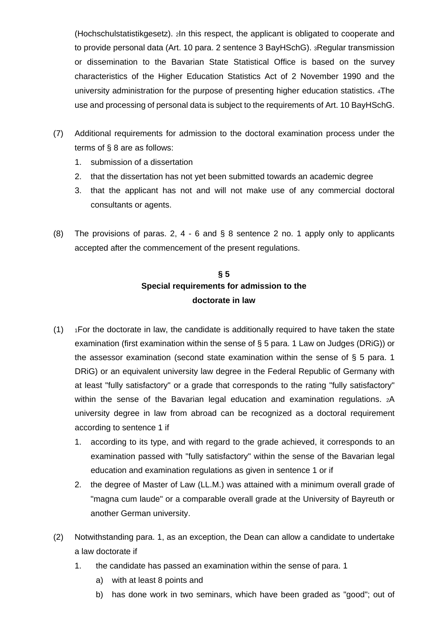(Hochschulstatistikgesetz). 2In this respect, the applicant is obligated to cooperate and to provide personal data (Art. 10 para. 2 sentence 3 BayHSchG). 3Regular transmission or dissemination to the Bavarian State Statistical Office is based on the survey characteristics of the Higher Education Statistics Act of 2 November 1990 and the university administration for the purpose of presenting higher education statistics. 4The use and processing of personal data is subject to the requirements of Art. 10 BayHSchG.

- (7) Additional requirements for admission to the doctoral examination process under the terms of § 8 are as follows:
	- 1. submission of a dissertation
	- 2. that the dissertation has not yet been submitted towards an academic degree
	- 3. that the applicant has not and will not make use of any commercial doctoral consultants or agents.
- (8) The provisions of paras. 2, 4 6 and § 8 sentence 2 no. 1 apply only to applicants accepted after the commencement of the present regulations.

# **§ 5 Special requirements for admission to the doctorate in law**

- $(1)$  1For the doctorate in law, the candidate is additionally required to have taken the state examination (first examination within the sense of § 5 para. 1 Law on Judges (DRiG)) or the assessor examination (second state examination within the sense of  $\S$  5 para. 1 DRiG) or an equivalent university law degree in the Federal Republic of Germany with at least "fully satisfactory" or a grade that corresponds to the rating "fully satisfactory" within the sense of the Bavarian legal education and examination regulations. 2A university degree in law from abroad can be recognized as a doctoral requirement according to sentence 1 if
	- 1. according to its type, and with regard to the grade achieved, it corresponds to an examination passed with "fully satisfactory" within the sense of the Bavarian legal education and examination regulations as given in sentence 1 or if
	- 2. the degree of Master of Law (LL.M.) was attained with a minimum overall grade of "magna cum laude" or a comparable overall grade at the University of Bayreuth or another German university.
- (2) Notwithstanding para. 1, as an exception, the Dean can allow a candidate to undertake a law doctorate if
	- 1. the candidate has passed an examination within the sense of para. 1
		- a) with at least 8 points and
		- b) has done work in two seminars, which have been graded as "good"; out of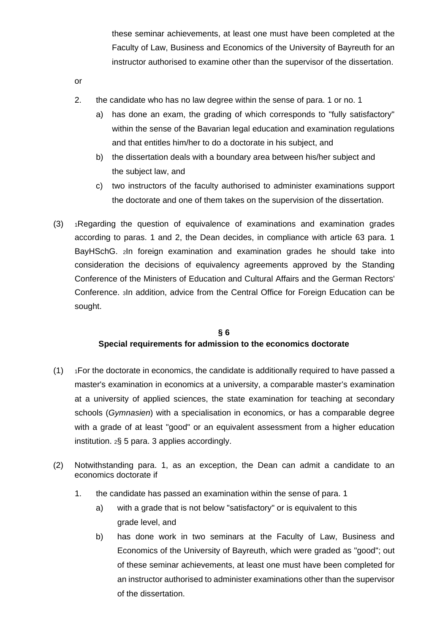these seminar achievements, at least one must have been completed at the Faculty of Law, Business and Economics of the University of Bayreuth for an instructor authorised to examine other than the supervisor of the dissertation.

- or
- 2. the candidate who has no law degree within the sense of para. 1 or no. 1
	- a) has done an exam, the grading of which corresponds to "fully satisfactory" within the sense of the Bavarian legal education and examination regulations and that entitles him/her to do a doctorate in his subject, and
	- b) the dissertation deals with a boundary area between his/her subject and the subject law, and
	- c) two instructors of the faculty authorised to administer examinations support the doctorate and one of them takes on the supervision of the dissertation.
- (3) 1Regarding the question of equivalence of examinations and examination grades according to paras. 1 and 2, the Dean decides, in compliance with article 63 para. 1 BayHSchG. 2In foreign examination and examination grades he should take into consideration the decisions of equivalency agreements approved by the Standing Conference of the Ministers of Education and Cultural Affairs and the German Rectors' Conference. 3In addition, advice from the Central Office for Foreign Education can be sought.

### **§ 6 Special requirements for admission to the economics doctorate**

- $(1)$  1For the doctorate in economics, the candidate is additionally required to have passed a master's examination in economics at a university, a comparable master's examination at a university of applied sciences, the state examination for teaching at secondary schools (*Gymnasien*) with a specialisation in economics, or has a comparable degree with a grade of at least "good" or an equivalent assessment from a higher education institution. 2§ 5 para. 3 applies accordingly.
- (2) Notwithstanding para. 1, as an exception, the Dean can admit a candidate to an economics doctorate if
	- 1. the candidate has passed an examination within the sense of para. 1
		- a) with a grade that is not below "satisfactory" or is equivalent to this grade level, and
		- b) has done work in two seminars at the Faculty of Law, Business and Economics of the University of Bayreuth, which were graded as "good"; out of these seminar achievements, at least one must have been completed for an instructor authorised to administer examinations other than the supervisor of the dissertation.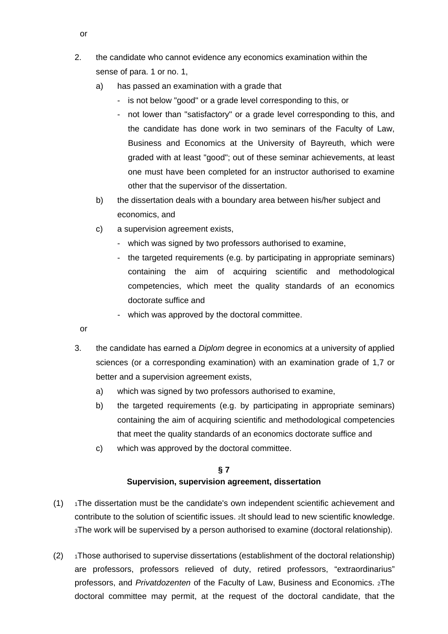- 2. the candidate who cannot evidence any economics examination within the sense of para. 1 or no. 1,
	- a) has passed an examination with a grade that
		- is not below "good" or a grade level corresponding to this, or
		- not lower than "satisfactory" or a grade level corresponding to this, and the candidate has done work in two seminars of the Faculty of Law, Business and Economics at the University of Bayreuth, which were graded with at least "good"; out of these seminar achievements, at least one must have been completed for an instructor authorised to examine other that the supervisor of the dissertation.
	- b) the dissertation deals with a boundary area between his/her subject and economics, and
	- c) a supervision agreement exists,
		- which was signed by two professors authorised to examine,
		- the targeted requirements (e.g. by participating in appropriate seminars) containing the aim of acquiring scientific and methodological competencies, which meet the quality standards of an economics doctorate suffice and
		- which was approved by the doctoral committee.
- or
- 3. the candidate has earned a *Diplom* degree in economics at a university of applied sciences (or a corresponding examination) with an examination grade of 1,7 or better and a supervision agreement exists,
	- a) which was signed by two professors authorised to examine,
	- b) the targeted requirements (e.g. by participating in appropriate seminars) containing the aim of acquiring scientific and methodological competencies that meet the quality standards of an economics doctorate suffice and
	- c) which was approved by the doctoral committee.

# **§ 7 Supervision, supervision agreement, dissertation**

- $(1)$  1The dissertation must be the candidate's own independent scientific achievement and contribute to the solution of scientific issues. 2It should lead to new scientific knowledge. 3The work will be supervised by a person authorised to examine (doctoral relationship).
- (2)  $\rightarrow$  1Those authorised to supervise dissertations (establishment of the doctoral relationship) are professors, professors relieved of duty, retired professors, "extraordinarius" professors, and *Privatdozenten* of the Faculty of Law, Business and Economics. 2The doctoral committee may permit, at the request of the doctoral candidate, that the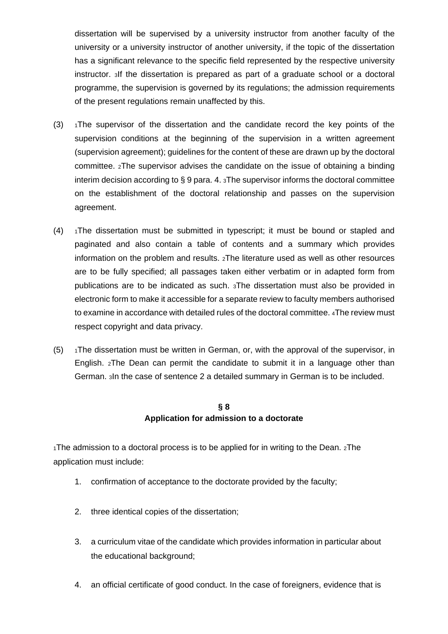dissertation will be supervised by a university instructor from another faculty of the university or a university instructor of another university, if the topic of the dissertation has a significant relevance to the specific field represented by the respective university instructor. 3If the dissertation is prepared as part of a graduate school or a doctoral programme, the supervision is governed by its regulations; the admission requirements of the present regulations remain unaffected by this.

- (3)  $\rightarrow$  1The supervisor of the dissertation and the candidate record the key points of the supervision conditions at the beginning of the supervision in a written agreement (supervision agreement); guidelines for the content of these are drawn up by the doctoral committee. 2The supervisor advises the candidate on the issue of obtaining a binding interim decision according to § 9 para. 4. 3The supervisor informs the doctoral committee on the establishment of the doctoral relationship and passes on the supervision agreement.
- $(4)$  1The dissertation must be submitted in typescript; it must be bound or stapled and paginated and also contain a table of contents and a summary which provides information on the problem and results. 2The literature used as well as other resources are to be fully specified; all passages taken either verbatim or in adapted form from publications are to be indicated as such. 3The dissertation must also be provided in electronic form to make it accessible for a separate review to faculty members authorised to examine in accordance with detailed rules of the doctoral committee. 4The review must respect copyright and data privacy.
- $(5)$  1The dissertation must be written in German, or, with the approval of the supervisor, in English. 2The Dean can permit the candidate to submit it in a language other than German. 3In the case of sentence 2 a detailed summary in German is to be included.

# **§ 8 Application for admission to a doctorate**

1The admission to a doctoral process is to be applied for in writing to the Dean. 2The application must include:

- 1. confirmation of acceptance to the doctorate provided by the faculty;
- 2. three identical copies of the dissertation;
- 3. a curriculum vitae of the candidate which provides information in particular about the educational background;
- 4. an official certificate of good conduct. In the case of foreigners, evidence that is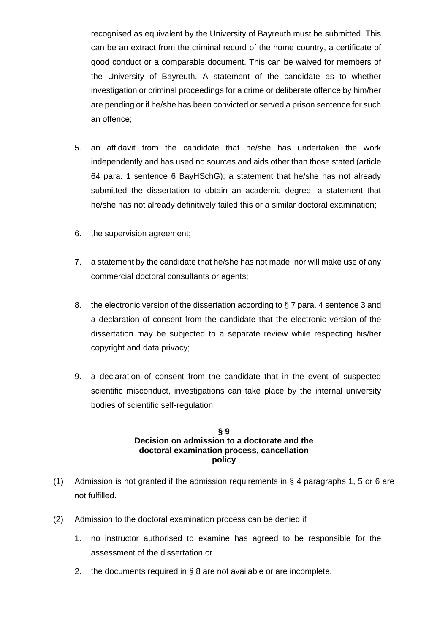recognised as equivalent by the University of Bayreuth must be submitted. This can be an extract from the criminal record of the home country, a certificate of good conduct or a comparable document. This can be waived for members of the University of Bayreuth. A statement of the candidate as to whether investigation or criminal proceedings for a crime or deliberate offence by him/her are pending or if he/she has been convicted or served a prison sentence for such an offence;

- 5. an affidavit from the candidate that he/she has undertaken the work independently and has used no sources and aids other than those stated (article 64 para. 1 sentence 6 BayHSchG); a statement that he/she has not already submitted the dissertation to obtain an academic degree; a statement that he/she has not already definitively failed this or a similar doctoral examination;
- 6. the supervision agreement;
- 7. a statement by the candidate that he/she has not made, nor will make use of any commercial doctoral consultants or agents;
- 8. the electronic version of the dissertation according to § 7 para. 4 sentence 3 and a declaration of consent from the candidate that the electronic version of the dissertation may be subjected to a separate review while respecting his/her copyright and data privacy;
- 9. a declaration of consent from the candidate that in the event of suspected scientific misconduct, investigations can take place by the internal university bodies of scientific self-regulation.

### **§ 9 Decision on admission to a doctorate and the doctoral examination process, cancellation policy**

- (1) Admission is not granted if the admission requirements in § 4 paragraphs 1, 5 or 6 are not fulfilled.
- (2) Admission to the doctoral examination process can be denied if
	- 1. no instructor authorised to examine has agreed to be responsible for the assessment of the dissertation or
	- 2. the documents required in  $\S$  8 are not available or are incomplete.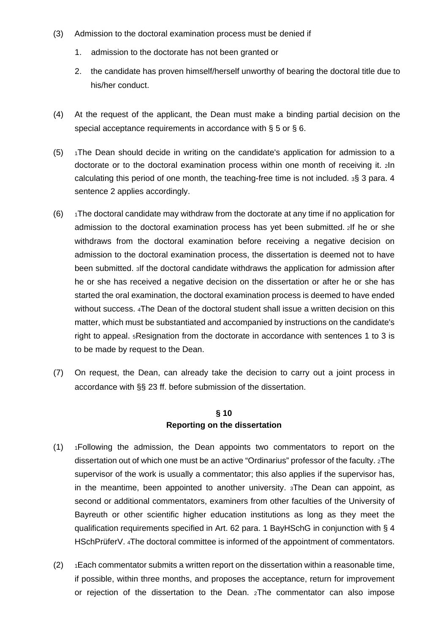- (3) Admission to the doctoral examination process must be denied if
	- 1. admission to the doctorate has not been granted or
	- 2. the candidate has proven himself/herself unworthy of bearing the doctoral title due to his/her conduct.
- (4) At the request of the applicant, the Dean must make a binding partial decision on the special acceptance requirements in accordance with § 5 or § 6.
- $(5)$  1The Dean should decide in writing on the candidate's application for admission to a doctorate or to the doctoral examination process within one month of receiving it. 2In calculating this period of one month, the teaching-free time is not included. 3§ 3 para. 4 sentence 2 applies accordingly.
- $(6)$  1The doctoral candidate may withdraw from the doctorate at any time if no application for admission to the doctoral examination process has yet been submitted. 2If he or she withdraws from the doctoral examination before receiving a negative decision on admission to the doctoral examination process, the dissertation is deemed not to have been submitted. 3If the doctoral candidate withdraws the application for admission after he or she has received a negative decision on the dissertation or after he or she has started the oral examination, the doctoral examination process is deemed to have ended without success. 4The Dean of the doctoral student shall issue a written decision on this matter, which must be substantiated and accompanied by instructions on the candidate's right to appeal. 5Resignation from the doctorate in accordance with sentences 1 to 3 is to be made by request to the Dean.
- (7) On request, the Dean, can already take the decision to carry out a joint process in accordance with §§ 23 ff. before submission of the dissertation.

# **§ 10 Reporting on the dissertation**

- (1) 1Following the admission, the Dean appoints two commentators to report on the dissertation out of which one must be an active "Ordinarius" professor of the faculty. 2The supervisor of the work is usually a commentator; this also applies if the supervisor has, in the meantime, been appointed to another university. 3The Dean can appoint, as second or additional commentators, examiners from other faculties of the University of Bayreuth or other scientific higher education institutions as long as they meet the qualification requirements specified in Art. 62 para. 1 BayHSchG in conjunction with § 4 HSchPrüferV. 4The doctoral committee is informed of the appointment of commentators.
- $(2)$  1Each commentator submits a written report on the dissertation within a reasonable time, if possible, within three months, and proposes the acceptance, return for improvement or rejection of the dissertation to the Dean. 2The commentator can also impose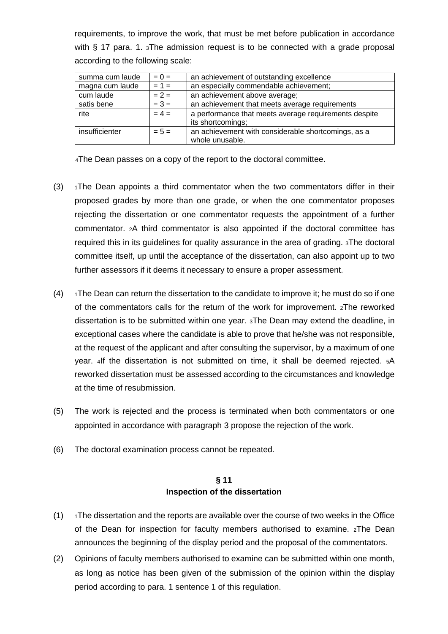requirements, to improve the work, that must be met before publication in accordance with § 17 para. 1. 3The admission request is to be connected with a grade proposal according to the following scale:

| summa cum laude | $= 0 =$ | an achievement of outstanding excellence              |
|-----------------|---------|-------------------------------------------------------|
| magna cum laude | $= 1 =$ | an especially commendable achievement;                |
| cum laude       | $= 2 =$ | an achievement above average;                         |
| satis bene      | $= 3 =$ | an achievement that meets average requirements        |
| rite            | $= 4 =$ | a performance that meets average requirements despite |
|                 |         | its shortcomings;                                     |
| insufficienter  | $= 5 =$ | an achievement with considerable shortcomings, as a   |
|                 |         | whole unusable.                                       |

4The Dean passes on a copy of the report to the doctoral committee.

- (3)  $\rightarrow$  1The Dean appoints a third commentator when the two commentators differ in their proposed grades by more than one grade, or when the one commentator proposes rejecting the dissertation or one commentator requests the appointment of a further commentator. 2A third commentator is also appointed if the doctoral committee has required this in its guidelines for quality assurance in the area of grading. 3The doctoral committee itself, up until the acceptance of the dissertation, can also appoint up to two further assessors if it deems it necessary to ensure a proper assessment.
- $(4)$  1The Dean can return the dissertation to the candidate to improve it; he must do so if one of the commentators calls for the return of the work for improvement. 2The reworked dissertation is to be submitted within one year. 3The Dean may extend the deadline, in exceptional cases where the candidate is able to prove that he/she was not responsible, at the request of the applicant and after consulting the supervisor, by a maximum of one year. 4If the dissertation is not submitted on time, it shall be deemed rejected. 5A reworked dissertation must be assessed according to the circumstances and knowledge at the time of resubmission.
- (5) The work is rejected and the process is terminated when both commentators or one appointed in accordance with paragraph 3 propose the rejection of the work.
- (6) The doctoral examination process cannot be repeated.

# **§ 11 Inspection of the dissertation**

- $(1)$  1The dissertation and the reports are available over the course of two weeks in the Office of the Dean for inspection for faculty members authorised to examine. 2The Dean announces the beginning of the display period and the proposal of the commentators.
- (2) Opinions of faculty members authorised to examine can be submitted within one month, as long as notice has been given of the submission of the opinion within the display period according to para. 1 sentence 1 of this regulation.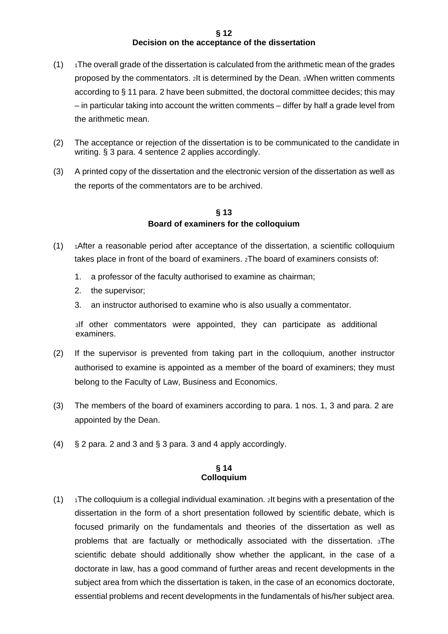#### **§ 12 Decision on the acceptance of the dissertation**

- $(1)$  1The overall grade of the dissertation is calculated from the arithmetic mean of the grades proposed by the commentators. 2It is determined by the Dean. 3When written comments according to § 11 para. 2 have been submitted, the doctoral committee decides; this may – in particular taking into account the written comments – differ by half a grade level from the arithmetic mean.
- (2) The acceptance or rejection of the dissertation is to be communicated to the candidate in writing. § 3 para. 4 sentence 2 applies accordingly.
- (3) A printed copy of the dissertation and the electronic version of the dissertation as well as the reports of the commentators are to be archived.

### **§ 13 Board of examiners for the colloquium**

- (1) 1After a reasonable period after acceptance of the dissertation, a scientific colloquium takes place in front of the board of examiners. 2The board of examiners consists of:
	- 1. a professor of the faculty authorised to examine as chairman;
	- 2. the supervisor;
	- 3. an instructor authorised to examine who is also usually a commentator.

3If other commentators were appointed, they can participate as additional examiners.

- (2) If the supervisor is prevented from taking part in the colloquium, another instructor authorised to examine is appointed as a member of the board of examiners; they must belong to the Faculty of Law, Business and Economics.
- (3) The members of the board of examiners according to para. 1 nos. 1, 3 and para. 2 are appointed by the Dean.
- (4) § 2 para. 2 and 3 and § 3 para. 3 and 4 apply accordingly.

#### **§ 14 Colloquium**

 $(1)$  1The colloquium is a collegial individual examination. 2It begins with a presentation of the dissertation in the form of a short presentation followed by scientific debate, which is focused primarily on the fundamentals and theories of the dissertation as well as problems that are factually or methodically associated with the dissertation. 3The scientific debate should additionally show whether the applicant, in the case of a doctorate in law, has a good command of further areas and recent developments in the subject area from which the dissertation is taken, in the case of an economics doctorate, essential problems and recent developments in the fundamentals of his/her subject area.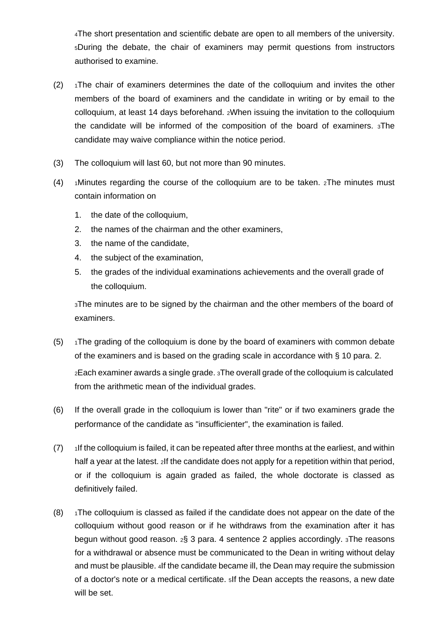4The short presentation and scientific debate are open to all members of the university. 5During the debate, the chair of examiners may permit questions from instructors authorised to examine.

- $(2)$  1The chair of examiners determines the date of the colloquium and invites the other members of the board of examiners and the candidate in writing or by email to the colloquium, at least 14 days beforehand. 2When issuing the invitation to the colloquium the candidate will be informed of the composition of the board of examiners. 3The candidate may waive compliance within the notice period.
- (3) The colloquium will last 60, but not more than 90 minutes.
- (4)  $\frac{1}{10}$  1Minutes regarding the course of the colloquium are to be taken. 2The minutes must contain information on
	- 1. the date of the colloquium,
	- 2. the names of the chairman and the other examiners,
	- 3. the name of the candidate,
	- 4. the subject of the examination,
	- 5. the grades of the individual examinations achievements and the overall grade of the colloquium.

3The minutes are to be signed by the chairman and the other members of the board of examiners.

- $(5)$  1The grading of the colloquium is done by the board of examiners with common debate of the examiners and is based on the grading scale in accordance with § 10 para. 2. 2Each examiner awards a single grade. 3The overall grade of the colloquium is calculated from the arithmetic mean of the individual grades.
- (6) If the overall grade in the colloquium is lower than "rite" or if two examiners grade the performance of the candidate as "insufficienter", the examination is failed.
- $(7)$  1If the colloquium is failed, it can be repeated after three months at the earliest, and within half a year at the latest. 2If the candidate does not apply for a repetition within that period, or if the colloquium is again graded as failed, the whole doctorate is classed as definitively failed.
- $(8)$  1The colloquium is classed as failed if the candidate does not appear on the date of the colloquium without good reason or if he withdraws from the examination after it has begun without good reason. 2§ 3 para. 4 sentence 2 applies accordingly. 3The reasons for a withdrawal or absence must be communicated to the Dean in writing without delay and must be plausible. 4If the candidate became ill, the Dean may require the submission of a doctor's note or a medical certificate. 5If the Dean accepts the reasons, a new date will be set.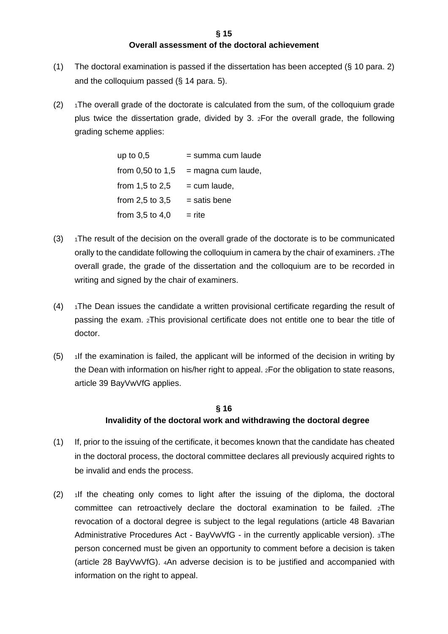# **Overall assessment of the doctoral achievement**

- (1) The doctoral examination is passed if the dissertation has been accepted (§ 10 para. 2) and the colloquium passed (§ 14 para. 5).
- $(2)$  1The overall grade of the doctorate is calculated from the sum, of the colloquium grade plus twice the dissertation grade, divided by 3. 2For the overall grade, the following grading scheme applies:

up to  $0.5$  = summa cum laude from 0,50 to 1,5 = magna cum laude, from 1,5 to 2,5  $=$  cum laude, from 2,5 to 3,5  $=$  satis bene from  $3.5$  to  $4.0$  = rite

- $(3)$  1The result of the decision on the overall grade of the doctorate is to be communicated orally to the candidate following the colloquium in camera by the chair of examiners. 2The overall grade, the grade of the dissertation and the colloquium are to be recorded in writing and signed by the chair of examiners.
- $(4)$  1The Dean issues the candidate a written provisional certificate regarding the result of passing the exam. 2This provisional certificate does not entitle one to bear the title of doctor.
- $(5)$  1If the examination is failed, the applicant will be informed of the decision in writing by the Dean with information on his/her right to appeal. 2For the obligation to state reasons, article 39 BayVwVfG applies.

# **§ 16 Invalidity of the doctoral work and withdrawing the doctoral degree**

- (1) If, prior to the issuing of the certificate, it becomes known that the candidate has cheated in the doctoral process, the doctoral committee declares all previously acquired rights to be invalid and ends the process.
- (2) 1If the cheating only comes to light after the issuing of the diploma, the doctoral committee can retroactively declare the doctoral examination to be failed. 2The revocation of a doctoral degree is subject to the legal regulations (article 48 Bavarian Administrative Procedures Act - BayVwVfG - in the currently applicable version). 3The person concerned must be given an opportunity to comment before a decision is taken (article 28 BayVwVfG). 4An adverse decision is to be justified and accompanied with information on the right to appeal.

#### **§ 15**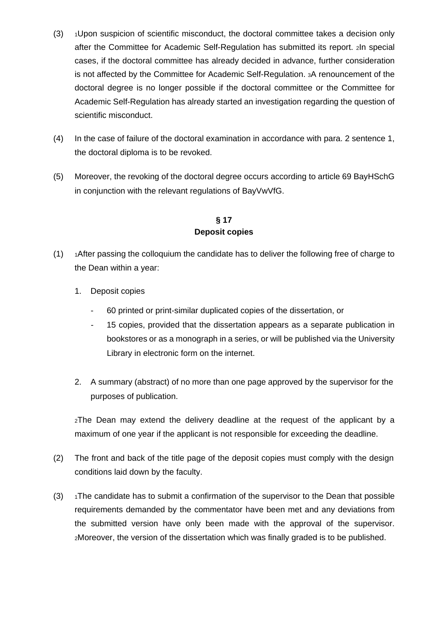- $(3)$  1Upon suspicion of scientific misconduct, the doctoral committee takes a decision only after the Committee for Academic Self-Regulation has submitted its report. 2In special cases, if the doctoral committee has already decided in advance, further consideration is not affected by the Committee for Academic Self-Regulation. 3A renouncement of the doctoral degree is no longer possible if the doctoral committee or the Committee for Academic Self-Regulation has already started an investigation regarding the question of scientific misconduct.
- (4) In the case of failure of the doctoral examination in accordance with para. 2 sentence 1, the doctoral diploma is to be revoked.
- (5) Moreover, the revoking of the doctoral degree occurs according to article 69 BayHSchG in conjunction with the relevant regulations of BayVwVfG.

# **§ 17 Deposit copies**

- $(1)$  1After passing the colloquium the candidate has to deliver the following free of charge to the Dean within a year:
	- 1. Deposit copies
		- 60 printed or print-similar duplicated copies of the dissertation, or
		- 15 copies, provided that the dissertation appears as a separate publication in bookstores or as a monograph in a series, or will be published via the University Library in electronic form on the internet.
	- 2. A summary (abstract) of no more than one page approved by the supervisor for the purposes of publication.

2The Dean may extend the delivery deadline at the request of the applicant by a maximum of one year if the applicant is not responsible for exceeding the deadline.

- (2) The front and back of the title page of the deposit copies must comply with the design conditions laid down by the faculty.
- (3)  $1$ The candidate has to submit a confirmation of the supervisor to the Dean that possible requirements demanded by the commentator have been met and any deviations from the submitted version have only been made with the approval of the supervisor. 2Moreover, the version of the dissertation which was finally graded is to be published.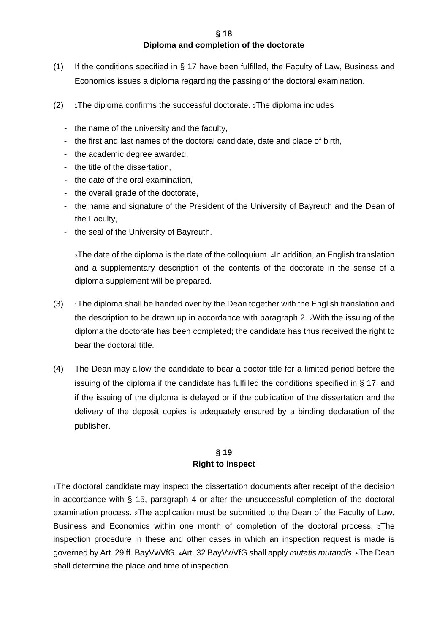**§ 18**

### **Diploma and completion of the doctorate**

- (1) If the conditions specified in § 17 have been fulfilled, the Faculty of Law, Business and Economics issues a diploma regarding the passing of the doctoral examination.
- $(2)$  1The diploma confirms the successful doctorate. 3The diploma includes
	- the name of the university and the faculty,
	- the first and last names of the doctoral candidate, date and place of birth,
	- the academic degree awarded,
	- the title of the dissertation,
	- the date of the oral examination,
	- the overall grade of the doctorate,
	- the name and signature of the President of the University of Bayreuth and the Dean of the Faculty,
	- the seal of the University of Bayreuth.

3The date of the diploma is the date of the colloquium. 4In addition, an English translation and a supplementary description of the contents of the doctorate in the sense of a diploma supplement will be prepared.

- $(3)$  1The diploma shall be handed over by the Dean together with the English translation and the description to be drawn up in accordance with paragraph 2. 2With the issuing of the diploma the doctorate has been completed; the candidate has thus received the right to bear the doctoral title.
- (4) The Dean may allow the candidate to bear a doctor title for a limited period before the issuing of the diploma if the candidate has fulfilled the conditions specified in § 17, and if the issuing of the diploma is delayed or if the publication of the dissertation and the delivery of the deposit copies is adequately ensured by a binding declaration of the publisher.

### **§ 19 Right to inspect**

1The doctoral candidate may inspect the dissertation documents after receipt of the decision in accordance with § 15, paragraph 4 or after the unsuccessful completion of the doctoral examination process. 2The application must be submitted to the Dean of the Faculty of Law, Business and Economics within one month of completion of the doctoral process. 3The inspection procedure in these and other cases in which an inspection request is made is governed by Art. 29 ff. BayVwVfG. 4Art. 32 BayVwVfG shall apply *mutatis mutandis*. 5The Dean shall determine the place and time of inspection.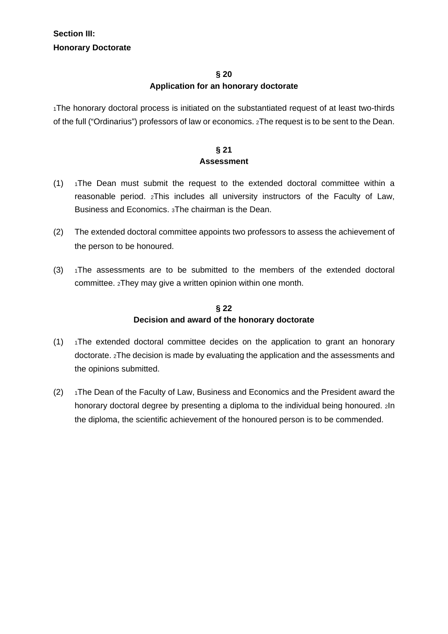# **§ 20 Application for an honorary doctorate**

1The honorary doctoral process is initiated on the substantiated request of at least two-thirds of the full ("Ordinarius") professors of law or economics. 2The request is to be sent to the Dean.

# **§ 21 Assessment**

- $(1)$  1The Dean must submit the request to the extended doctoral committee within a reasonable period. 2This includes all university instructors of the Faculty of Law, Business and Economics. 3The chairman is the Dean.
- (2) The extended doctoral committee appoints two professors to assess the achievement of the person to be honoured.
- $(3)$  1The assessments are to be submitted to the members of the extended doctoral committee. 2They may give a written opinion within one month.

# **§ 22 Decision and award of the honorary doctorate**

- $(1)$  1The extended doctoral committee decides on the application to grant an honorary doctorate. 2The decision is made by evaluating the application and the assessments and the opinions submitted.
- $(2)$  1The Dean of the Faculty of Law, Business and Economics and the President award the honorary doctoral degree by presenting a diploma to the individual being honoured. 2In the diploma, the scientific achievement of the honoured person is to be commended.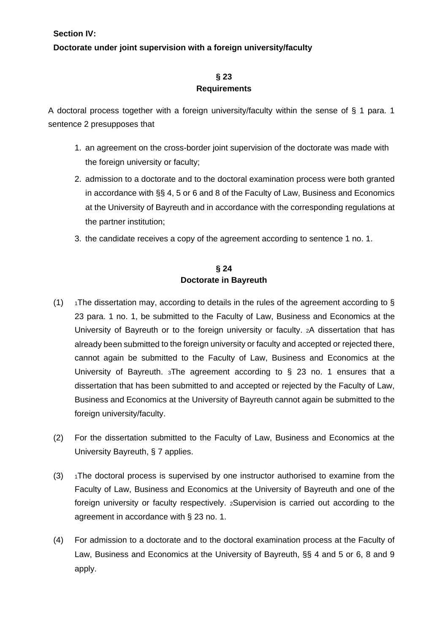# **Doctorate under joint supervision with a foreign university/faculty**

# **§ 23 Requirements**

A doctoral process together with a foreign university/faculty within the sense of § 1 para. 1 sentence 2 presupposes that

- 1. an agreement on the cross-border joint supervision of the doctorate was made with the foreign university or faculty;
- 2. admission to a doctorate and to the doctoral examination process were both granted in accordance with §§ 4, 5 or 6 and 8 of the Faculty of Law, Business and Economics at the University of Bayreuth and in accordance with the corresponding regulations at the partner institution;
- 3. the candidate receives a copy of the agreement according to sentence 1 no. 1.

# **§ 24 Doctorate in Bayreuth**

- (1)  $\rightarrow$  1The dissertation may, according to details in the rules of the agreement according to § 23 para. 1 no. 1, be submitted to the Faculty of Law, Business and Economics at the University of Bayreuth or to the foreign university or faculty. 2A dissertation that has already been submitted to the foreign university or faculty and accepted or rejected there, cannot again be submitted to the Faculty of Law, Business and Economics at the University of Bayreuth. 3The agreement according to § 23 no. 1 ensures that a dissertation that has been submitted to and accepted or rejected by the Faculty of Law, Business and Economics at the University of Bayreuth cannot again be submitted to the foreign university/faculty.
- (2) For the dissertation submitted to the Faculty of Law, Business and Economics at the University Bayreuth, § 7 applies.
- $(3)$  1The doctoral process is supervised by one instructor authorised to examine from the Faculty of Law, Business and Economics at the University of Bayreuth and one of the foreign university or faculty respectively. 2Supervision is carried out according to the agreement in accordance with § 23 no. 1.
- (4) For admission to a doctorate and to the doctoral examination process at the Faculty of Law, Business and Economics at the University of Bayreuth, §§ 4 and 5 or 6, 8 and 9 apply.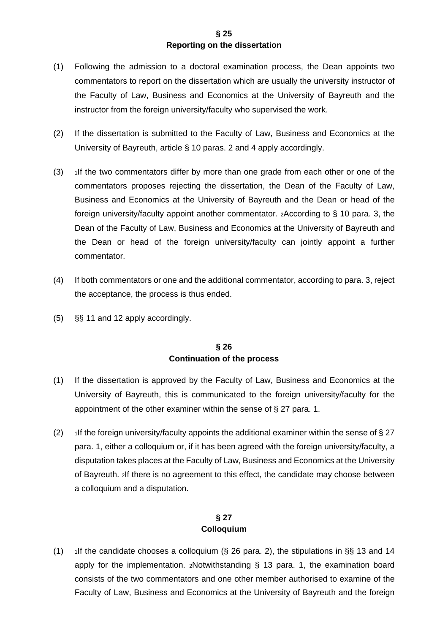### **§ 25 Reporting on the dissertation**

- (1) Following the admission to a doctoral examination process, the Dean appoints two commentators to report on the dissertation which are usually the university instructor of the Faculty of Law, Business and Economics at the University of Bayreuth and the instructor from the foreign university/faculty who supervised the work.
- (2) If the dissertation is submitted to the Faculty of Law, Business and Economics at the University of Bayreuth, article § 10 paras. 2 and 4 apply accordingly.
- $(3)$  1If the two commentators differ by more than one grade from each other or one of the commentators proposes rejecting the dissertation, the Dean of the Faculty of Law, Business and Economics at the University of Bayreuth and the Dean or head of the foreign university/faculty appoint another commentator. 2According to § 10 para. 3, the Dean of the Faculty of Law, Business and Economics at the University of Bayreuth and the Dean or head of the foreign university/faculty can jointly appoint a further commentator.
- (4) If both commentators or one and the additional commentator, according to para. 3, reject the acceptance, the process is thus ended.
- (5) §§ 11 and 12 apply accordingly.

### **§ 26 Continuation of the process**

- (1) If the dissertation is approved by the Faculty of Law, Business and Economics at the University of Bayreuth, this is communicated to the foreign university/faculty for the appointment of the other examiner within the sense of § 27 para. 1.
- (2) 1If the foreign university/faculty appoints the additional examiner within the sense of  $\S 27$ para. 1, either a colloquium or, if it has been agreed with the foreign university/faculty, a disputation takes places at the Faculty of Law, Business and Economics at the University of Bayreuth. 2If there is no agreement to this effect, the candidate may choose between a colloquium and a disputation.

# **§ 27 Colloquium**

(1) 1If the candidate chooses a colloquium  $(\xi$  26 para. 2), the stipulations in  $\xi \xi$  13 and 14 apply for the implementation. 2Notwithstanding § 13 para. 1, the examination board consists of the two commentators and one other member authorised to examine of the Faculty of Law, Business and Economics at the University of Bayreuth and the foreign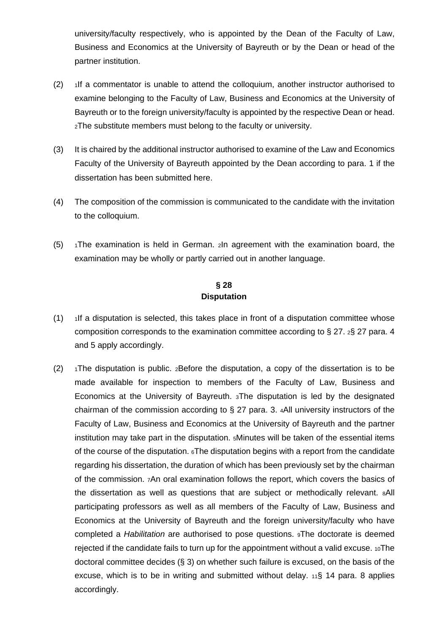university/faculty respectively, who is appointed by the Dean of the Faculty of Law, Business and Economics at the University of Bayreuth or by the Dean or head of the partner institution.

- $(2)$  1If a commentator is unable to attend the colloquium, another instructor authorised to examine belonging to the Faculty of Law, Business and Economics at the University of Bayreuth or to the foreign university/faculty is appointed by the respective Dean or head. 2The substitute members must belong to the faculty or university.
- (3) It is chaired by the additional instructor authorised to examine of the Law and Economics Faculty of the University of Bayreuth appointed by the Dean according to para. 1 if the dissertation has been submitted here.
- (4) The composition of the commission is communicated to the candidate with the invitation to the colloquium.
- (5)  $\rightarrow$  1The examination is held in German. 2In agreement with the examination board, the examination may be wholly or partly carried out in another language.

# **§ 28 Disputation**

- $(1)$  1If a disputation is selected, this takes place in front of a disputation committee whose composition corresponds to the examination committee according to § 27. 2§ 27 para. 4 and 5 apply accordingly.
- $(2)$  1The disputation is public. 2Before the disputation, a copy of the dissertation is to be made available for inspection to members of the Faculty of Law, Business and Economics at the University of Bayreuth. 3The disputation is led by the designated chairman of the commission according to § 27 para. 3. 4All university instructors of the Faculty of Law, Business and Economics at the University of Bayreuth and the partner institution may take part in the disputation. 5Minutes will be taken of the essential items of the course of the disputation. 6The disputation begins with a report from the candidate regarding his dissertation, the duration of which has been previously set by the chairman of the commission. 7An oral examination follows the report, which covers the basics of the dissertation as well as questions that are subject or methodically relevant. 8All participating professors as well as all members of the Faculty of Law, Business and Economics at the University of Bayreuth and the foreign university/faculty who have completed a *Habilitation* are authorised to pose questions. 9The doctorate is deemed rejected if the candidate fails to turn up for the appointment without a valid excuse.  $10$ The doctoral committee decides (§ 3) on whether such failure is excused, on the basis of the excuse, which is to be in writing and submitted without delay. 11§ 14 para. 8 applies accordingly.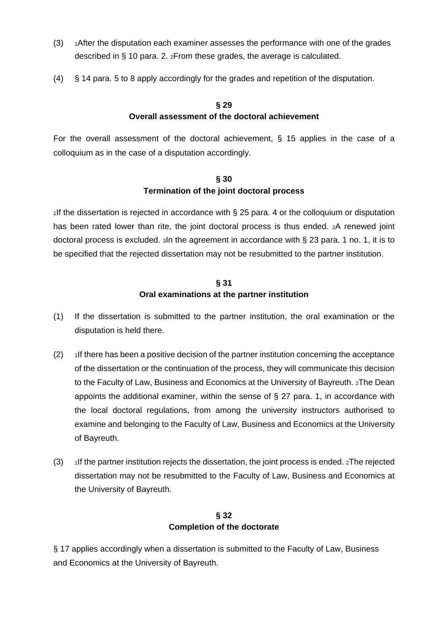- (3) 1After the disputation each examiner assesses the performance with one of the grades described in § 10 para. 2. 2From these grades, the average is calculated.
- (4) § 14 para. 5 to 8 apply accordingly for the grades and repetition of the disputation.

# **§ 29 Overall assessment of the doctoral achievement**

For the overall assessment of the doctoral achievement, § 15 applies in the case of a colloquium as in the case of a disputation accordingly.

# **§ 30 Termination of the joint doctoral process**

1If the dissertation is rejected in accordance with § 25 para. 4 or the colloquium or disputation has been rated lower than rite, the joint doctoral process is thus ended. 2A renewed joint doctoral process is excluded. 3In the agreement in accordance with § 23 para. 1 no. 1, it is to be specified that the rejected dissertation may not be resubmitted to the partner institution.

# **§ 31 Oral examinations at the partner institution**

- (1) If the dissertation is submitted to the partner institution, the oral examination or the disputation is held there.
- $(2)$  1If there has been a positive decision of the partner institution concerning the acceptance of the dissertation or the continuation of the process, they will communicate this decision to the Faculty of Law, Business and Economics at the University of Bayreuth. 2The Dean appoints the additional examiner, within the sense of § 27 para. 1, in accordance with the local doctoral regulations, from among the university instructors authorised to examine and belonging to the Faculty of Law, Business and Economics at the University of Bayreuth.
- (3) 1If the partner institution rejects the dissertation, the joint process is ended. 2The rejected dissertation may not be resubmitted to the Faculty of Law, Business and Economics at the University of Bayreuth.

# **§ 32 Completion of the doctorate**

§ 17 applies accordingly when a dissertation is submitted to the Faculty of Law, Business and Economics at the University of Bayreuth.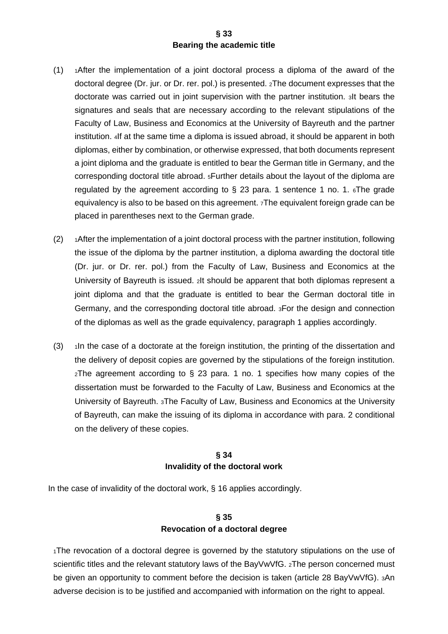### **§ 33 Bearing the academic title**

- $(1)$  1After the implementation of a joint doctoral process a diploma of the award of the doctoral degree (Dr. jur. or Dr. rer. pol.) is presented. 2The document expresses that the doctorate was carried out in joint supervision with the partner institution. 3It bears the signatures and seals that are necessary according to the relevant stipulations of the Faculty of Law, Business and Economics at the University of Bayreuth and the partner institution. 4If at the same time a diploma is issued abroad, it should be apparent in both diplomas, either by combination, or otherwise expressed, that both documents represent a joint diploma and the graduate is entitled to bear the German title in Germany, and the corresponding doctoral title abroad. 5Further details about the layout of the diploma are regulated by the agreement according to  $\S$  23 para. 1 sentence 1 no. 1.  $\epsilon$ The grade equivalency is also to be based on this agreement. 7The equivalent foreign grade can be placed in parentheses next to the German grade.
- (2) 1After the implementation of a joint doctoral process with the partner institution, following the issue of the diploma by the partner institution, a diploma awarding the doctoral title (Dr. jur. or Dr. rer. pol.) from the Faculty of Law, Business and Economics at the University of Bayreuth is issued. 2It should be apparent that both diplomas represent a joint diploma and that the graduate is entitled to bear the German doctoral title in Germany, and the corresponding doctoral title abroad. 3For the design and connection of the diplomas as well as the grade equivalency, paragraph 1 applies accordingly.
- $(3)$  1In the case of a doctorate at the foreign institution, the printing of the dissertation and the delivery of deposit copies are governed by the stipulations of the foreign institution. 2The agreement according to § 23 para. 1 no. 1 specifies how many copies of the dissertation must be forwarded to the Faculty of Law, Business and Economics at the University of Bayreuth. 3The Faculty of Law, Business and Economics at the University of Bayreuth, can make the issuing of its diploma in accordance with para. 2 conditional on the delivery of these copies.

### **§ 34 Invalidity of the doctoral work**

In the case of invalidity of the doctoral work, § 16 applies accordingly.

# **§ 35 Revocation of a doctoral degree**

<sub>1</sub>The revocation of a doctoral degree is governed by the statutory stipulations on the use of scientific titles and the relevant statutory laws of the BayVwVfG. 2The person concerned must be given an opportunity to comment before the decision is taken (article 28 BayVwVfG). 3An adverse decision is to be justified and accompanied with information on the right to appeal.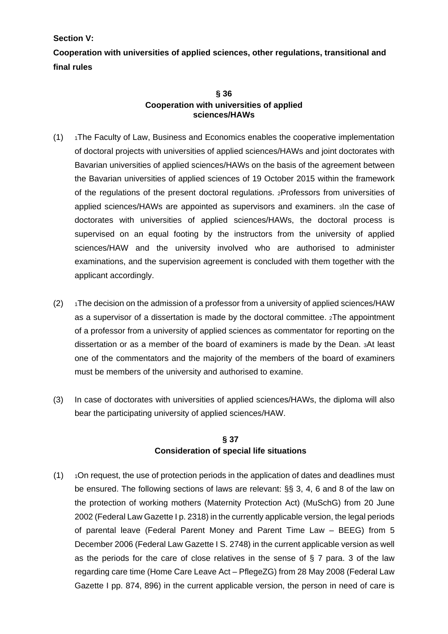**Section V:** 

**Cooperation with universities of applied sciences, other regulations, transitional and final rules** 

### **§ 36 Cooperation with universities of applied sciences/HAWs**

- (1) 1The Faculty of Law, Business and Economics enables the cooperative implementation of doctoral projects with universities of applied sciences/HAWs and joint doctorates with Bavarian universities of applied sciences/HAWs on the basis of the agreement between the Bavarian universities of applied sciences of 19 October 2015 within the framework of the regulations of the present doctoral regulations. 2Professors from universities of applied sciences/HAWs are appointed as supervisors and examiners. 3In the case of doctorates with universities of applied sciences/HAWs, the doctoral process is supervised on an equal footing by the instructors from the university of applied sciences/HAW and the university involved who are authorised to administer examinations, and the supervision agreement is concluded with them together with the applicant accordingly.
- $(2)$  1The decision on the admission of a professor from a university of applied sciences/HAW as a supervisor of a dissertation is made by the doctoral committee. 2The appointment of a professor from a university of applied sciences as commentator for reporting on the dissertation or as a member of the board of examiners is made by the Dean. 3At least one of the commentators and the majority of the members of the board of examiners must be members of the university and authorised to examine.
- (3) In case of doctorates with universities of applied sciences/HAWs, the diploma will also bear the participating university of applied sciences/HAW.

# **§ 37 Consideration of special life situations**

 $(1)$   $1$ On request, the use of protection periods in the application of dates and deadlines must be ensured. The following sections of laws are relevant: §§ 3, 4, 6 and 8 of the law on the protection of working mothers (Maternity Protection Act) (MuSchG) from 20 June 2002 (Federal Law Gazette I p. 2318) in the currently applicable version, the legal periods of parental leave (Federal Parent Money and Parent Time Law – BEEG) from 5 December 2006 (Federal Law Gazette I S. 2748) in the current applicable version as well as the periods for the care of close relatives in the sense of  $\S 7$  para. 3 of the law regarding care time (Home Care Leave Act – PflegeZG) from 28 May 2008 (Federal Law Gazette I pp. 874, 896) in the current applicable version, the person in need of care is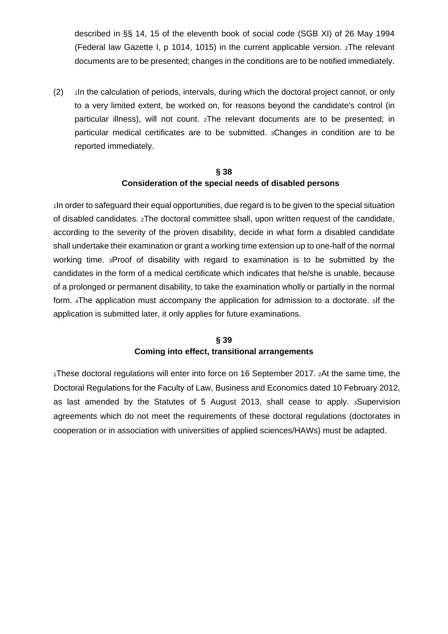described in §§ 14, 15 of the eleventh book of social code (SGB XI) of 26 May 1994 (Federal law Gazette I, p 1014, 1015) in the current applicable version. 2The relevant documents are to be presented; changes in the conditions are to be notified immediately.

 $(2)$  1In the calculation of periods, intervals, during which the doctoral project cannot, or only to a very limited extent, be worked on, for reasons beyond the candidate's control (in particular illness), will not count. 2The relevant documents are to be presented; in particular medical certificates are to be submitted. 3Changes in condition are to be reported immediately.

# **§ 38 Consideration of the special needs of disabled persons**

1In order to safeguard their equal opportunities, due regard is to be given to the special situation of disabled candidates. 2The doctoral committee shall, upon written request of the candidate, according to the severity of the proven disability, decide in what form a disabled candidate shall undertake their examination or grant a working time extension up to one-half of the normal working time. 3Proof of disability with regard to examination is to be submitted by the candidates in the form of a medical certificate which indicates that he/she is unable, because of a prolonged or permanent disability, to take the examination wholly or partially in the normal form. 4The application must accompany the application for admission to a doctorate. 5If the application is submitted later, it only applies for future examinations.

# **§ 39 Coming into effect, transitional arrangements**

1These doctoral regulations will enter into force on 16 September 2017. 2At the same time, the Doctoral Regulations for the Faculty of Law, Business and Economics dated 10 February 2012, as last amended by the Statutes of 5 August 2013, shall cease to apply. 3Supervision agreements which do not meet the requirements of these doctoral regulations (doctorates in cooperation or in association with universities of applied sciences/HAWs) must be adapted.